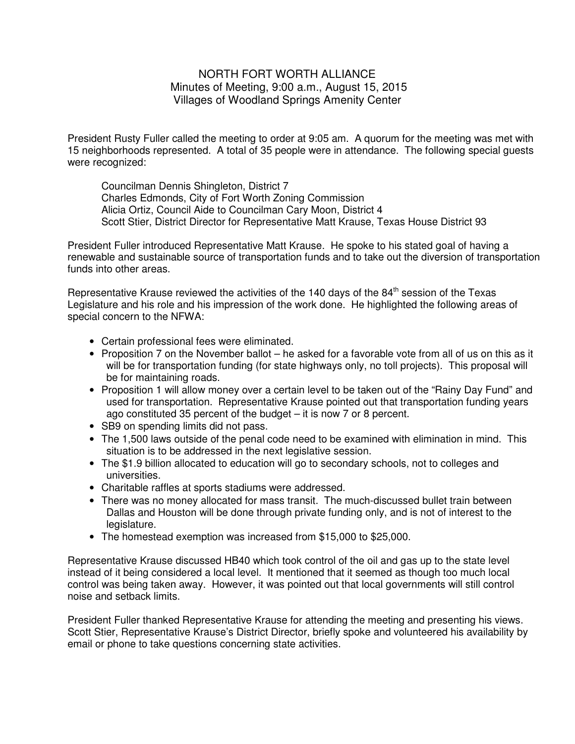## NORTH FORT WORTH ALLIANCE Minutes of Meeting, 9:00 a.m., August 15, 2015 Villages of Woodland Springs Amenity Center

President Rusty Fuller called the meeting to order at 9:05 am. A quorum for the meeting was met with 15 neighborhoods represented. A total of 35 people were in attendance. The following special guests were recognized:

 Councilman Dennis Shingleton, District 7 Charles Edmonds, City of Fort Worth Zoning Commission Alicia Ortiz, Council Aide to Councilman Cary Moon, District 4 Scott Stier, District Director for Representative Matt Krause, Texas House District 93

President Fuller introduced Representative Matt Krause. He spoke to his stated goal of having a renewable and sustainable source of transportation funds and to take out the diversion of transportation funds into other areas.

Representative Krause reviewed the activities of the 140 days of the  $84<sup>th</sup>$  session of the Texas Legislature and his role and his impression of the work done. He highlighted the following areas of special concern to the NFWA:

- Certain professional fees were eliminated.
- Proposition 7 on the November ballot he asked for a favorable vote from all of us on this as it will be for transportation funding (for state highways only, no toll projects). This proposal will be for maintaining roads.
- Proposition 1 will allow money over a certain level to be taken out of the "Rainy Day Fund" and used for transportation. Representative Krause pointed out that transportation funding years ago constituted 35 percent of the budget – it is now 7 or 8 percent.
- SB9 on spending limits did not pass.
- The 1,500 laws outside of the penal code need to be examined with elimination in mind. This situation is to be addressed in the next legislative session.
- The \$1.9 billion allocated to education will go to secondary schools, not to colleges and universities.
- Charitable raffles at sports stadiums were addressed.
- There was no money allocated for mass transit. The much-discussed bullet train between Dallas and Houston will be done through private funding only, and is not of interest to the legislature.
- The homestead exemption was increased from \$15,000 to \$25,000.

Representative Krause discussed HB40 which took control of the oil and gas up to the state level instead of it being considered a local level. It mentioned that it seemed as though too much local control was being taken away. However, it was pointed out that local governments will still control noise and setback limits.

President Fuller thanked Representative Krause for attending the meeting and presenting his views. Scott Stier, Representative Krause's District Director, briefly spoke and volunteered his availability by email or phone to take questions concerning state activities.